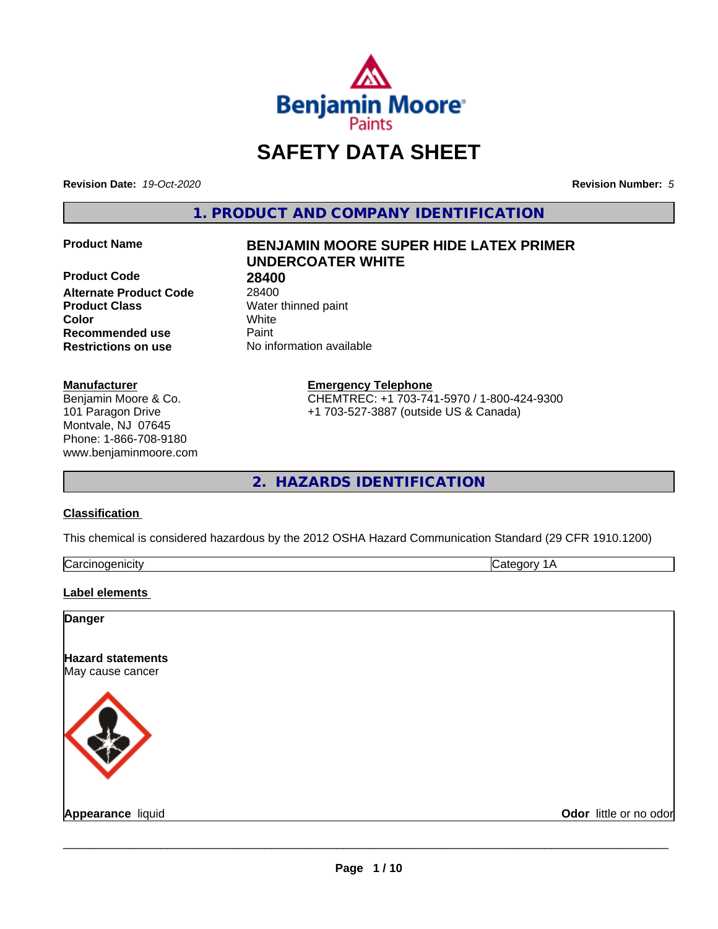

# **SAFETY DATA SHEET**

**Revision Date:** *19-Oct-2020* **Revision Number:** *5*

**1. PRODUCT AND COMPANY IDENTIFICATION**

**Product Code 28400<br>Alternate Product Code 28400 Alternate Product Code Product Class** Water thinned paint **Color** White **Recommended use Caint Restrictions on use** No information available

#### **Manufacturer**

Benjamin Moore & Co. 101 Paragon Drive Montvale, NJ 07645 Phone: 1-866-708-9180 www.benjaminmoore.com

## **Product Name BENJAMIN MOORE SUPER HIDE LATEX PRIMER UNDERCOATER WHITE**

**Emergency Telephone**

CHEMTREC: +1 703-741-5970 / 1-800-424-9300 +1 703-527-3887 (outside US & Canada)

**2. HAZARDS IDENTIFICATION**

#### **Classification**

This chemical is considered hazardous by the 2012 OSHA Hazard Communication Standard (29 CFR 1910.1200)

| .cinoaenicitv<br>`or.<br>∵اα | . .<br>ுπ⊷<br>ำ∩rv<br>$\overline{\phantom{a}}$ |
|------------------------------|------------------------------------------------|
|                              |                                                |

#### **Label elements**

#### **Danger**

**Hazard statements** May cause cancer



**Appearance** liquid **Contract Contract Contract Contract Contract Contract Contract Contract Contract Contract Contract Contract Contract Contract Contract Contract Contract Contract Contract Contract Contract Contract Con**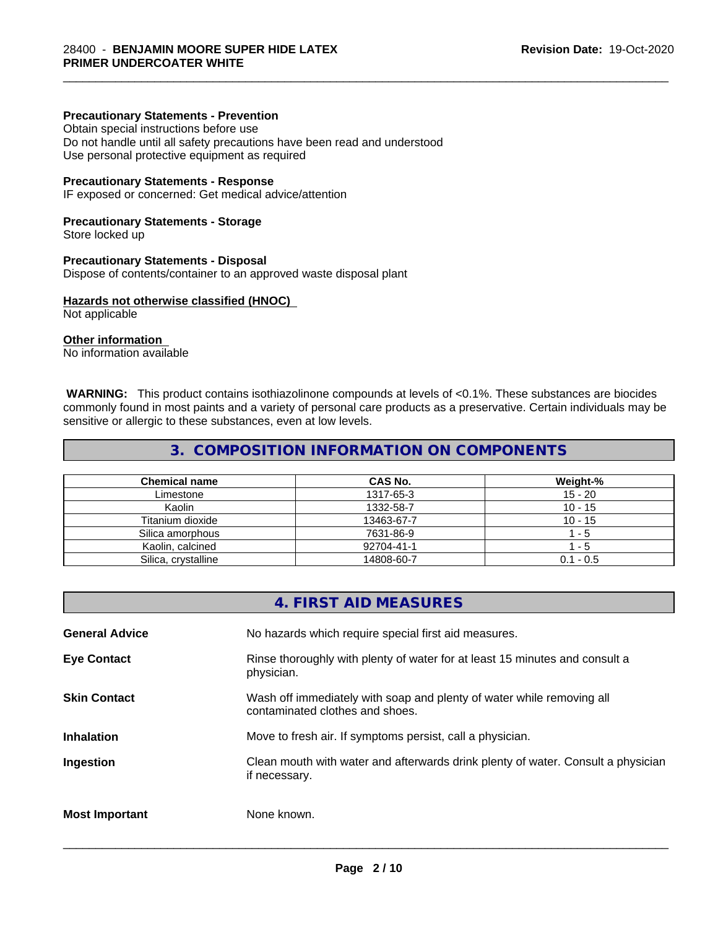#### **Precautionary Statements - Prevention**

Obtain special instructions before use Do not handle until all safety precautions have been read and understood Use personal protective equipment as required

#### **Precautionary Statements - Response**

IF exposed or concerned: Get medical advice/attention

#### **Precautionary Statements - Storage**

Store locked up

#### **Precautionary Statements - Disposal**

Dispose of contents/container to an approved waste disposal plant

#### **Hazards not otherwise classified (HNOC)**

Not applicable

#### **Other information**

No information available

 **WARNING:** This product contains isothiazolinone compounds at levels of <0.1%. These substances are biocides commonly found in most paints and a variety of personal care products as a preservative. Certain individuals may be sensitive or allergic to these substances, even at low levels.

\_\_\_\_\_\_\_\_\_\_\_\_\_\_\_\_\_\_\_\_\_\_\_\_\_\_\_\_\_\_\_\_\_\_\_\_\_\_\_\_\_\_\_\_\_\_\_\_\_\_\_\_\_\_\_\_\_\_\_\_\_\_\_\_\_\_\_\_\_\_\_\_\_\_\_\_\_\_\_\_\_\_\_\_\_\_\_\_\_\_\_\_\_

### **3. COMPOSITION INFORMATION ON COMPONENTS**

| <b>Chemical name</b> | CAS No.    | Weight-%    |
|----------------------|------------|-------------|
| Limestone            | 1317-65-3  | $15 - 20$   |
| Kaolin               | 1332-58-7  | $10 - 15$   |
| Titanium dioxide     | 13463-67-7 | $10 - 15$   |
| Silica amorphous     | 7631-86-9  | $-5$        |
| Kaolin, calcined     | 92704-41-1 | - 5         |
| Silica, crystalline  | 14808-60-7 | $0.1 - 0.5$ |

|                       | 4. FIRST AID MEASURES                                                                                    |
|-----------------------|----------------------------------------------------------------------------------------------------------|
| <b>General Advice</b> | No hazards which require special first aid measures.                                                     |
| <b>Eye Contact</b>    | Rinse thoroughly with plenty of water for at least 15 minutes and consult a<br>physician.                |
| <b>Skin Contact</b>   | Wash off immediately with soap and plenty of water while removing all<br>contaminated clothes and shoes. |
| <b>Inhalation</b>     | Move to fresh air. If symptoms persist, call a physician.                                                |
| Ingestion             | Clean mouth with water and afterwards drink plenty of water. Consult a physician<br>if necessary.        |
| <b>Most Important</b> | None known.                                                                                              |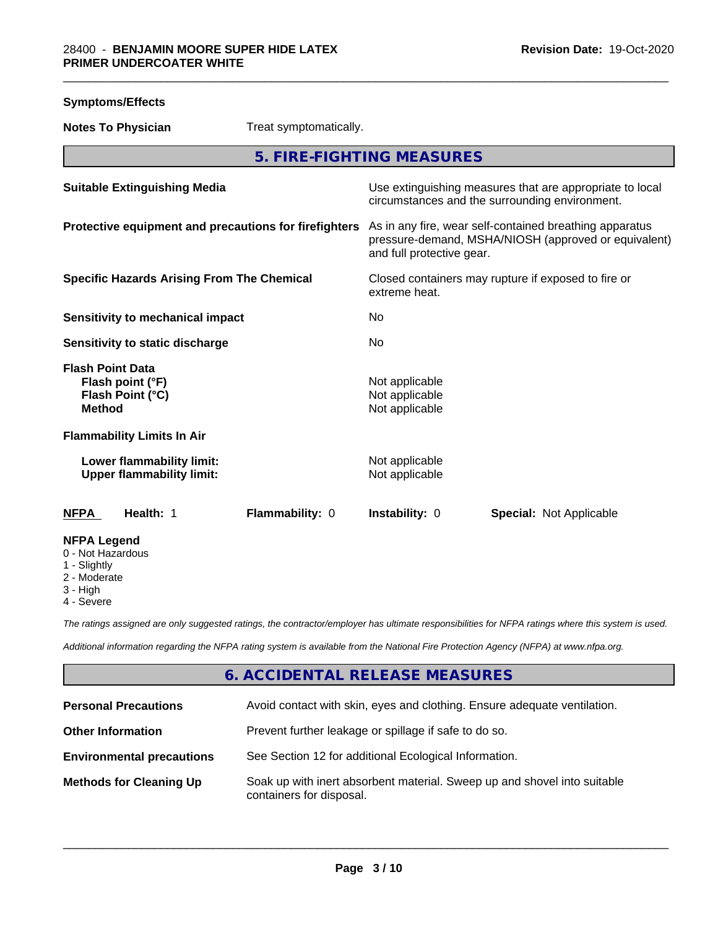| <b>Symptoms/Effects</b>                                                          |                           |                                                                                                                                              |                                |  |
|----------------------------------------------------------------------------------|---------------------------|----------------------------------------------------------------------------------------------------------------------------------------------|--------------------------------|--|
| <b>Notes To Physician</b>                                                        | Treat symptomatically.    |                                                                                                                                              |                                |  |
|                                                                                  | 5. FIRE-FIGHTING MEASURES |                                                                                                                                              |                                |  |
| <b>Suitable Extinguishing Media</b>                                              |                           | Use extinguishing measures that are appropriate to local<br>circumstances and the surrounding environment.                                   |                                |  |
| Protective equipment and precautions for firefighters                            |                           | As in any fire, wear self-contained breathing apparatus<br>pressure-demand, MSHA/NIOSH (approved or equivalent)<br>and full protective gear. |                                |  |
| <b>Specific Hazards Arising From The Chemical</b>                                |                           | Closed containers may rupture if exposed to fire or<br>extreme heat.                                                                         |                                |  |
| <b>Sensitivity to mechanical impact</b>                                          |                           | No                                                                                                                                           |                                |  |
| Sensitivity to static discharge                                                  |                           | No                                                                                                                                           |                                |  |
| <b>Flash Point Data</b><br>Flash point (°F)<br>Flash Point (°C)<br><b>Method</b> |                           | Not applicable<br>Not applicable<br>Not applicable                                                                                           |                                |  |
| <b>Flammability Limits In Air</b>                                                |                           |                                                                                                                                              |                                |  |
| Lower flammability limit:<br><b>Upper flammability limit:</b>                    |                           | Not applicable<br>Not applicable                                                                                                             |                                |  |
| <b>NFPA</b><br>Health: 1                                                         | Flammability: 0           | Instability: 0                                                                                                                               | <b>Special: Not Applicable</b> |  |
| <b>NFPA Legend</b><br>0 - Not Hazardous<br>1 - Slightly<br>2 - Moderate          |                           |                                                                                                                                              |                                |  |

3 - High

4 - Severe

*The ratings assigned are only suggested ratings, the contractor/employer has ultimate responsibilities for NFPA ratings where this system is used.*

*Additional information regarding the NFPA rating system is available from the National Fire Protection Agency (NFPA) at www.nfpa.org.*

## **6. ACCIDENTAL RELEASE MEASURES**

| <b>Personal Precautions</b>      | Avoid contact with skin, eyes and clothing. Ensure adequate ventilation.                             |
|----------------------------------|------------------------------------------------------------------------------------------------------|
| <b>Other Information</b>         | Prevent further leakage or spillage if safe to do so.                                                |
| <b>Environmental precautions</b> | See Section 12 for additional Ecological Information.                                                |
| <b>Methods for Cleaning Up</b>   | Soak up with inert absorbent material. Sweep up and shovel into suitable<br>containers for disposal. |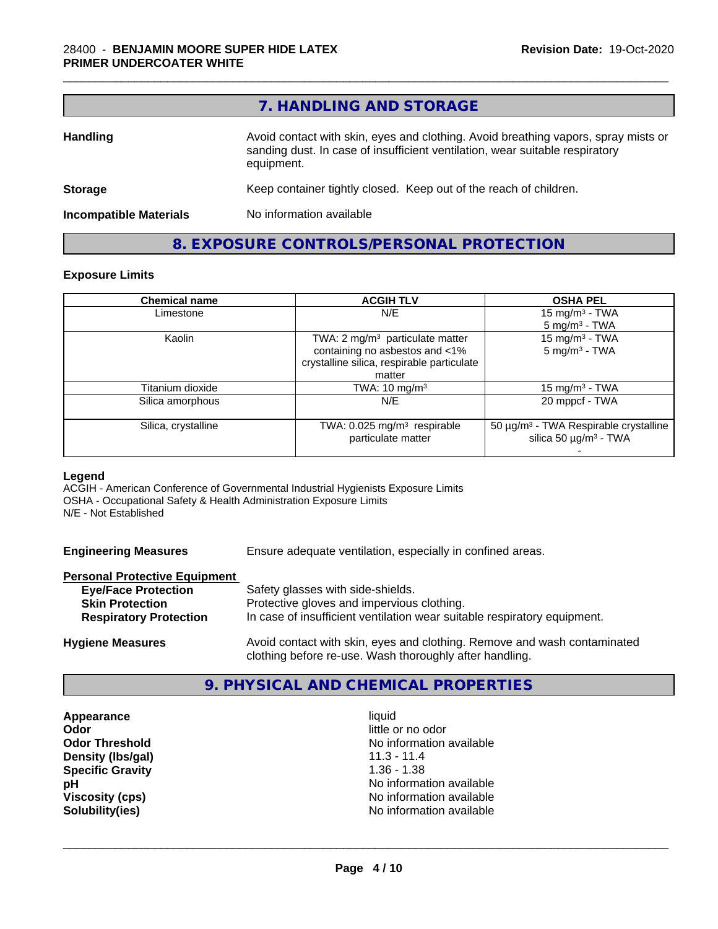|                               | 7. HANDLING AND STORAGE                                                                                                                                                          |
|-------------------------------|----------------------------------------------------------------------------------------------------------------------------------------------------------------------------------|
| <b>Handling</b>               | Avoid contact with skin, eyes and clothing. Avoid breathing vapors, spray mists or<br>sanding dust. In case of insufficient ventilation, wear suitable respiratory<br>equipment. |
| <b>Storage</b>                | Keep container tightly closed. Keep out of the reach of children.                                                                                                                |
| <b>Incompatible Materials</b> | No information available                                                                                                                                                         |

**8. EXPOSURE CONTROLS/PERSONAL PROTECTION**

## **Exposure Limits**

| <b>Chemical name</b> | <b>ACGIH TLV</b>                                                                                                                      | <b>OSHA PEL</b>                                                                             |
|----------------------|---------------------------------------------------------------------------------------------------------------------------------------|---------------------------------------------------------------------------------------------|
| Limestone            | N/E                                                                                                                                   | 15 mg/m <sup>3</sup> - TWA<br>$5 \text{ mg/m}^3$ - TWA                                      |
| Kaolin               | TWA: 2 mg/m <sup>3</sup> particulate matter<br>containing no asbestos and <1%<br>crystalline silica, respirable particulate<br>matter | 15 mg/m <sup>3</sup> - TWA<br>$5 \text{ mg/m}^3$ - TWA                                      |
| Titanium dioxide     | TWA: $10 \text{ mg/m}^3$                                                                                                              | 15 mg/m $3$ - TWA                                                                           |
| Silica amorphous     | N/E                                                                                                                                   | 20 mppcf - TWA                                                                              |
| Silica, crystalline  | TWA: $0.025$ mg/m <sup>3</sup> respirable<br>particulate matter                                                                       | 50 µg/m <sup>3</sup> - TWA Respirable crystalline<br>silica 50 $\mu$ g/m <sup>3</sup> - TWA |

#### **Legend**

ACGIH - American Conference of Governmental Industrial Hygienists Exposure Limits OSHA - Occupational Safety & Health Administration Exposure Limits N/E - Not Established

**Engineering Measures** Ensure adequate ventilation, especially in confined areas.

#### **Personal Protective Equipment**

| Safety glasses with side-shields.<br><b>Eye/Face Protection</b><br>Protective gloves and impervious clothing.<br><b>Skin Protection</b><br><b>Respiratory Protection</b><br>In case of insufficient ventilation wear suitable respiratory equipment. |  |
|------------------------------------------------------------------------------------------------------------------------------------------------------------------------------------------------------------------------------------------------------|--|
|------------------------------------------------------------------------------------------------------------------------------------------------------------------------------------------------------------------------------------------------------|--|

**Hygiene Measures** Avoid contact with skin, eyes and clothing. Remove and wash contaminated clothing before re-use. Wash thoroughly after handling.

### **9. PHYSICAL AND CHEMICAL PROPERTIES**

**Appearance** liquid **and a limitation of the contract of the liquid determined a liquid determined by a little contract of the contract of the contract of the contract of the contract of the contract of the contract of the Density (Ibs/gal)** 11.3 - 11.4<br> **Specific Gravity** 1.36 - 1.38 **Specific Gravity** 

little or no odor **Odor Threshold**<br> **Density (Ibs/gal)**<br> **Density (Ibs/gal)**<br> **No information available**<br>
11.3 - 11.4 **pH** No information available **Viscosity (cps)** <br> **Viscosity (cps)** No information available<br>
No information available<br>
No information available **Solubility(ies)** No information available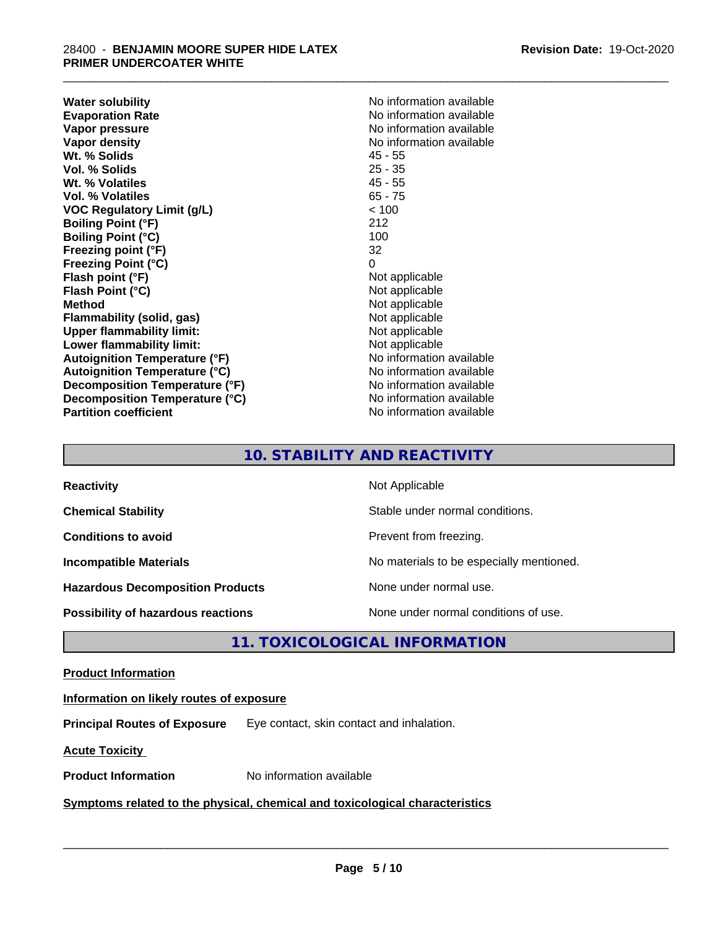**Water solubility**<br> **Evaporation Rate**<br> **Evaporation Rate**<br> **Evaporation Rate Vapor pressure** No information available **Vapor density**<br> **We Solids**<br>
We Solids
2019<br>
We Note that the Solid A5 - 55 **Wt. % Solids** 45 - 55<br> **Vol. % Solids** 25 - 35 **Vol. % Solids Wt. % Volatiles** 45 - 55 **Vol. % Volatiles** 65 - 75 **VOC Regulatory Limit (g/L)** < 100 **Boiling Point (°F)** 212 **Boiling Point (°C)** 100 **Freezing point (°F)** 32 **Freezing Point (°C)** 0<br> **Flash point (°F)** 0<br>
Not applicable **Flash point (°F)**<br> **Flash Point (°C)**<br> **Flash Point (°C)**<br> **Compare Server All Alta Annual Mothematic Not applicable Flash Point (°C) Method**<br> **Flammability (solid, gas)**<br> **Example 2018** Not applicable **Flammability** (solid, gas) **Upper flammability limit:** Not applicable **Lower flammability limit:**<br> **Autoignition Temperature (°F)** Not applicable Not applicable available **Autoignition Temperature (°F) Autoignition Temperature (°C)** No information available **Decomposition Temperature (°F)** No information available **Decomposition Temperature (°C)** No information available **Partition coefficient** No information available

**Evaporation Rate** No information available

\_\_\_\_\_\_\_\_\_\_\_\_\_\_\_\_\_\_\_\_\_\_\_\_\_\_\_\_\_\_\_\_\_\_\_\_\_\_\_\_\_\_\_\_\_\_\_\_\_\_\_\_\_\_\_\_\_\_\_\_\_\_\_\_\_\_\_\_\_\_\_\_\_\_\_\_\_\_\_\_\_\_\_\_\_\_\_\_\_\_\_\_\_

## **10. STABILITY AND REACTIVITY**

| <b>Reactivity</b>                         | Not Applicable                           |
|-------------------------------------------|------------------------------------------|
| <b>Chemical Stability</b>                 | Stable under normal conditions.          |
| <b>Conditions to avoid</b>                | Prevent from freezing.                   |
| <b>Incompatible Materials</b>             | No materials to be especially mentioned. |
| <b>Hazardous Decomposition Products</b>   | None under normal use.                   |
| <b>Possibility of hazardous reactions</b> | None under normal conditions of use.     |

**11. TOXICOLOGICAL INFORMATION**

#### **Product Information**

#### **Information on likely routes of exposure**

**Principal Routes of Exposure** Eye contact, skin contact and inhalation.

**Acute Toxicity** 

**Product Information** No information available

#### **Symptoms related to the physical,chemical and toxicological characteristics**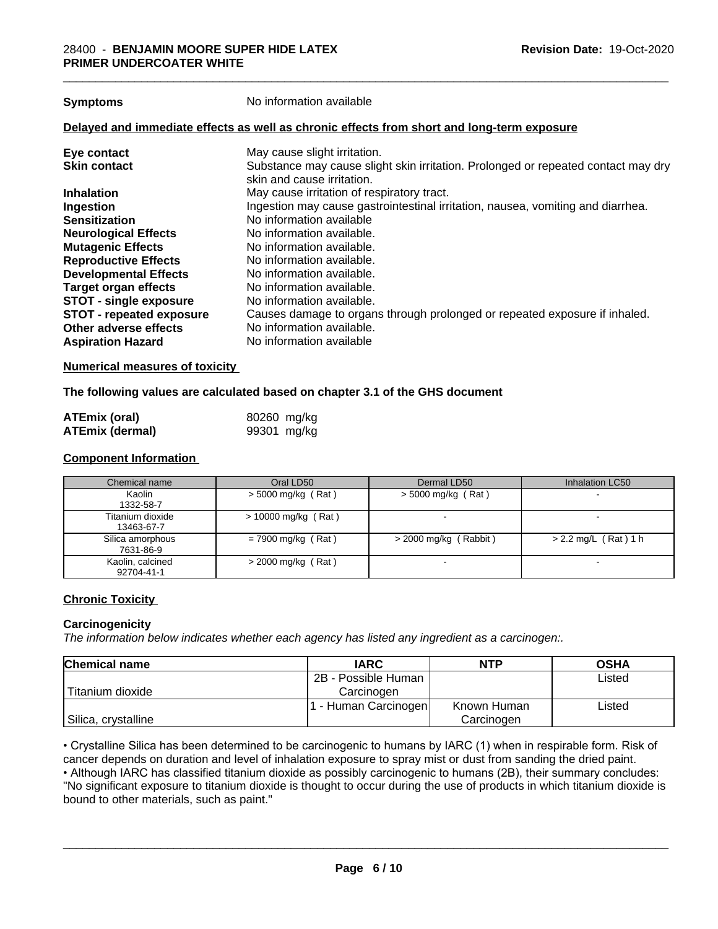**Symptoms** No information available

#### **Delayed and immediate effects as well as chronic effects from short and long-term exposure**

| Eye contact                     | May cause slight irritation.                                                      |
|---------------------------------|-----------------------------------------------------------------------------------|
| <b>Skin contact</b>             | Substance may cause slight skin irritation. Prolonged or repeated contact may dry |
|                                 | skin and cause irritation.                                                        |
| <b>Inhalation</b>               | May cause irritation of respiratory tract.                                        |
| Ingestion                       | Ingestion may cause gastrointestinal irritation, nausea, vomiting and diarrhea.   |
| <b>Sensitization</b>            | No information available                                                          |
| <b>Neurological Effects</b>     | No information available.                                                         |
| <b>Mutagenic Effects</b>        | No information available.                                                         |
| <b>Reproductive Effects</b>     | No information available.                                                         |
| <b>Developmental Effects</b>    | No information available.                                                         |
| <b>Target organ effects</b>     | No information available.                                                         |
| <b>STOT - single exposure</b>   | No information available.                                                         |
| <b>STOT - repeated exposure</b> | Causes damage to organs through prolonged or repeated exposure if inhaled.        |
| Other adverse effects           | No information available.                                                         |
| <b>Aspiration Hazard</b>        | No information available                                                          |

#### **Numerical measures of toxicity**

#### **The following values are calculated based on chapter 3.1 of the GHS document**

| <b>ATEmix (oral)</b>   | 80260 mg/kg |
|------------------------|-------------|
| <b>ATEmix (dermal)</b> | 99301 mg/kg |

#### **Component Information**

| Chemical name                  | Oral LD50             | Dermal LD50             | Inhalation LC50        |
|--------------------------------|-----------------------|-------------------------|------------------------|
| Kaolin<br>1332-58-7            | $>$ 5000 mg/kg (Rat)  | $>$ 5000 mg/kg (Rat)    |                        |
| Titanium dioxide<br>13463-67-7 | $> 10000$ mg/kg (Rat) |                         |                        |
| Silica amorphous<br>7631-86-9  | $= 7900$ mg/kg (Rat)  | $>$ 2000 mg/kg (Rabbit) | $> 2.2$ mg/L (Rat) 1 h |
| Kaolin, calcined<br>92704-41-1 | $>$ 2000 mg/kg (Rat)  | -                       |                        |

#### **Chronic Toxicity**

#### **Carcinogenicity**

*The information below indicateswhether each agency has listed any ingredient as a carcinogen:.*

| <b>Chemical name</b> | <b>IARC</b>          | <b>NTP</b>  | <b>OSHA</b> |
|----------------------|----------------------|-------------|-------------|
|                      | 2B - Possible Human  |             | Listed      |
| Titanium dioxide     | Carcinoɑen           |             |             |
|                      | . - Human Carcinogen | Known Human | Listed      |
| Silica, crystalline  |                      | Carcinogen  |             |

• Crystalline Silica has been determined to be carcinogenic to humans by IARC (1) when in respirable form. Risk of cancer depends on duration and level of inhalation exposure to spray mist or dust from sanding the dried paint.

• Although IARC has classified titanium dioxide as possibly carcinogenic to humans (2B), their summary concludes: "No significant exposure to titanium dioxide is thought to occur during the use of products in which titanium dioxide is bound to other materials, such as paint."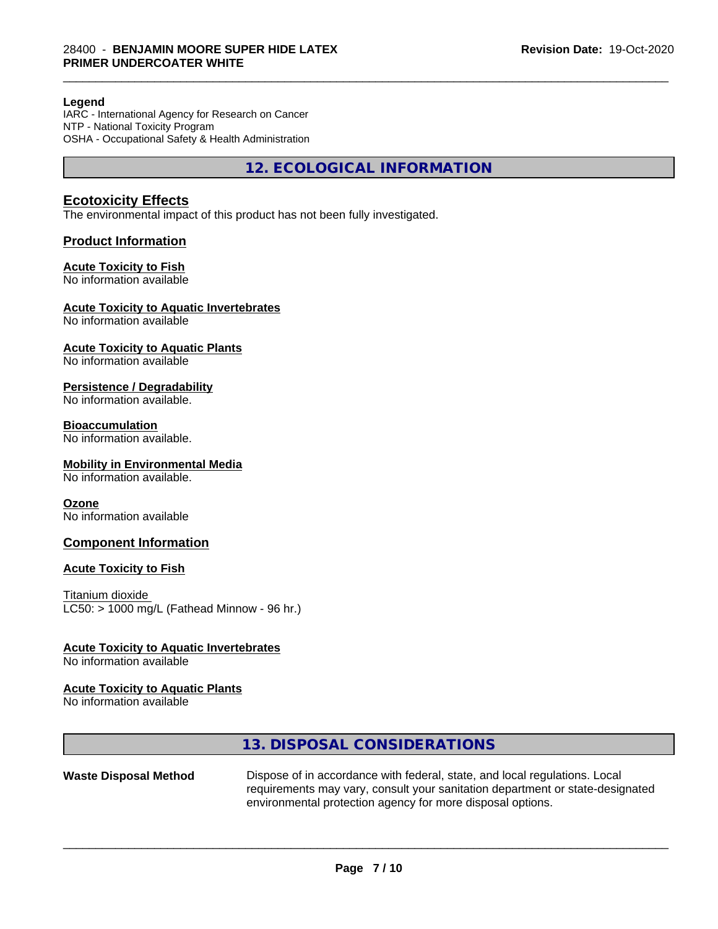#### **Legend**

IARC - International Agency for Research on Cancer NTP - National Toxicity Program OSHA - Occupational Safety & Health Administration

**12. ECOLOGICAL INFORMATION**

\_\_\_\_\_\_\_\_\_\_\_\_\_\_\_\_\_\_\_\_\_\_\_\_\_\_\_\_\_\_\_\_\_\_\_\_\_\_\_\_\_\_\_\_\_\_\_\_\_\_\_\_\_\_\_\_\_\_\_\_\_\_\_\_\_\_\_\_\_\_\_\_\_\_\_\_\_\_\_\_\_\_\_\_\_\_\_\_\_\_\_\_\_

### **Ecotoxicity Effects**

The environmental impact of this product has not been fully investigated.

#### **Product Information**

#### **Acute Toxicity to Fish**

No information available

### **Acute Toxicity to Aquatic Invertebrates**

No information available

## **Acute Toxicity to Aquatic Plants**

No information available

#### **Persistence / Degradability**

No information available.

### **Bioaccumulation**

No information available.

#### **Mobility in Environmental Media**

No information available.

#### **Ozone**

No information available

#### **Component Information**

#### **Acute Toxicity to Fish**

Titanium dioxide  $LC50:$  > 1000 mg/L (Fathead Minnow - 96 hr.)

#### **Acute Toxicity to Aquatic Invertebrates**

No information available

#### **Acute Toxicity to Aquatic Plants**

No information available

#### **13. DISPOSAL CONSIDERATIONS**

**Waste Disposal Method** Dispose of in accordance with federal, state, and local regulations. Local requirements may vary, consult your sanitation department or state-designated environmental protection agency for more disposal options.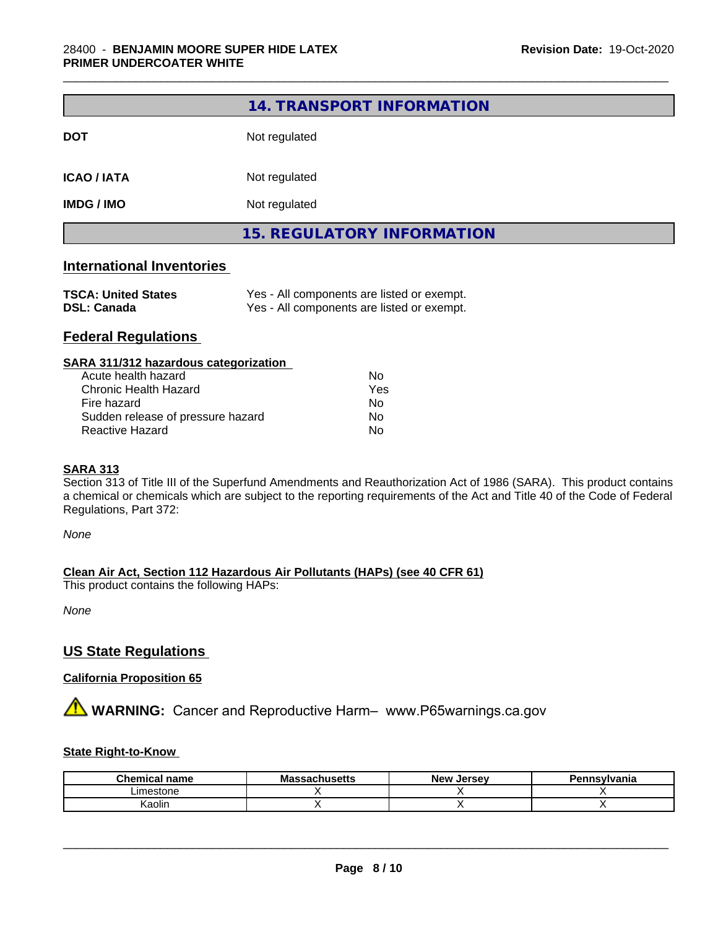|                                  | 14. TRANSPORT INFORMATION         |
|----------------------------------|-----------------------------------|
| <b>DOT</b>                       | Not regulated                     |
| <b>ICAO / IATA</b>               | Not regulated                     |
| <b>IMDG / IMO</b>                | Not regulated                     |
|                                  | <b>15. REGULATORY INFORMATION</b> |
| <b>International Inventories</b> |                                   |

\_\_\_\_\_\_\_\_\_\_\_\_\_\_\_\_\_\_\_\_\_\_\_\_\_\_\_\_\_\_\_\_\_\_\_\_\_\_\_\_\_\_\_\_\_\_\_\_\_\_\_\_\_\_\_\_\_\_\_\_\_\_\_\_\_\_\_\_\_\_\_\_\_\_\_\_\_\_\_\_\_\_\_\_\_\_\_\_\_\_\_\_\_

| <b>TSCA: United States</b> | Yes - All components are listed or exempt. |
|----------------------------|--------------------------------------------|
| <b>DSL: Canada</b>         | Yes - All components are listed or exempt. |

## **Federal Regulations**

#### **SARA 311/312 hazardous categorization**

| Acute health hazard               | Nο  |
|-----------------------------------|-----|
| Chronic Health Hazard             | Yes |
| Fire hazard                       | Nο  |
| Sudden release of pressure hazard | N٥  |
| Reactive Hazard                   | N٥  |

#### **SARA 313**

Section 313 of Title III of the Superfund Amendments and Reauthorization Act of 1986 (SARA). This product contains a chemical or chemicals which are subject to the reporting requirements of the Act and Title 40 of the Code of Federal Regulations, Part 372:

*None*

#### **Clean Air Act,Section 112 Hazardous Air Pollutants (HAPs) (see 40 CFR 61)**

This product contains the following HAPs:

*None*

## **US State Regulations**

#### **California Proposition 65**

**AVIMARNING:** Cancer and Reproductive Harm– www.P65warnings.ca.gov

#### **State Right-to-Know**

| Chemica<br>name<br>тисаг | <b>Massachusetts</b> | <b>New</b><br>. Jersev | าทรงIvania |
|--------------------------|----------------------|------------------------|------------|
| Limestone                |                      |                        |            |
| Kaolin                   |                      |                        |            |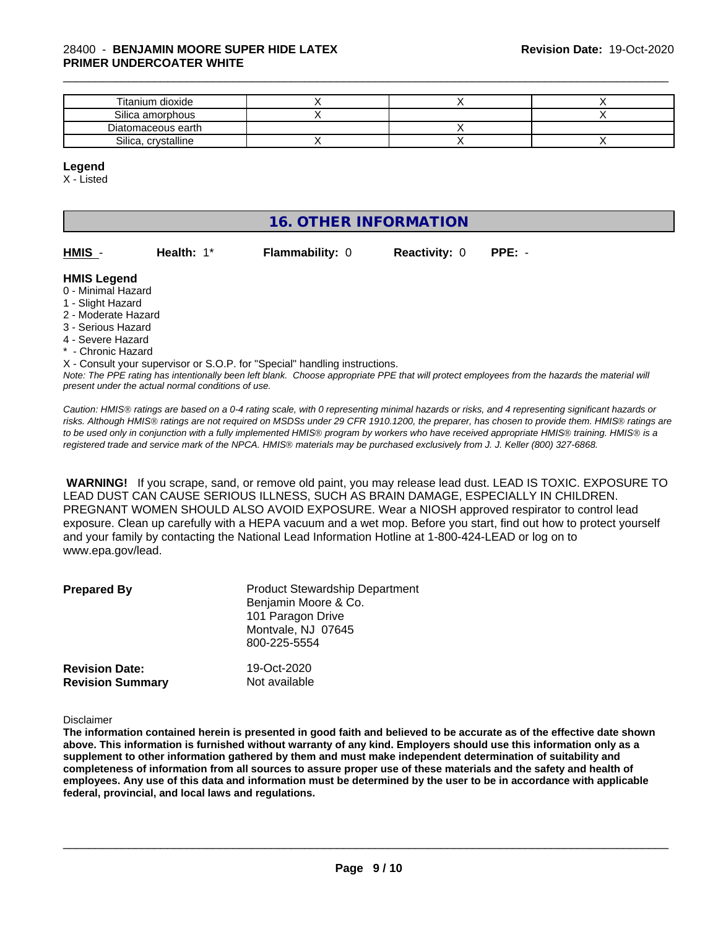| Titanium dioxide    |  |  |
|---------------------|--|--|
| Silica amorphous    |  |  |
| Diatomaceous earth  |  |  |
| Silica, crystalline |  |  |

\_\_\_\_\_\_\_\_\_\_\_\_\_\_\_\_\_\_\_\_\_\_\_\_\_\_\_\_\_\_\_\_\_\_\_\_\_\_\_\_\_\_\_\_\_\_\_\_\_\_\_\_\_\_\_\_\_\_\_\_\_\_\_\_\_\_\_\_\_\_\_\_\_\_\_\_\_\_\_\_\_\_\_\_\_\_\_\_\_\_\_\_\_

**HMIS** - **Health:** 1\* **Flammability:** 0 **Reactivity:** 0 **PPE:** -

#### **Legend**

X - Listed

## **16. OTHER INFORMATION**

| HMIS - | Health: $1^*$ | <b>Flammability: 0</b> |
|--------|---------------|------------------------|
|        |               |                        |

#### **HMIS Legend**

- 0 Minimal Hazard
- 1 Slight Hazard
- 2 Moderate Hazard
- 3 Serious Hazard
- 4 Severe Hazard
- \* Chronic Hazard

*Note: The PPE rating has intentionally been left blank. Choose appropriate PPE that will protect employees from the hazards the material will present under the actual normal conditions of use.* X - Consult your supervisor or S.O.P. for "Special" handling instructions.

*Caution: HMISÒ ratings are based on a 0-4 rating scale, with 0 representing minimal hazards or risks, and 4 representing significant hazards or risks. Although HMISÒ ratings are not required on MSDSs under 29 CFR 1910.1200, the preparer, has chosen to provide them. HMISÒ ratings are to be used only in conjunction with a fully implemented HMISÒ program by workers who have received appropriate HMISÒ training. HMISÒ is a registered trade and service mark of the NPCA. HMISÒ materials may be purchased exclusively from J. J. Keller (800) 327-6868.*

 **WARNING!** If you scrape, sand, or remove old paint, you may release lead dust. LEAD IS TOXIC. EXPOSURE TO LEAD DUST CAN CAUSE SERIOUS ILLNESS, SUCH AS BRAIN DAMAGE, ESPECIALLY IN CHILDREN. PREGNANT WOMEN SHOULD ALSO AVOID EXPOSURE. Wear a NIOSH approved respirator to control lead exposure. Clean up carefully with a HEPA vacuum and a wet mop. Before you start, find out how to protect yourself and your family by contacting the National Lead Information Hotline at 1-800-424-LEAD or log on to www.epa.gov/lead.

| <b>Prepared By</b>                               | <b>Product Stewardship Department</b><br>Benjamin Moore & Co.<br>101 Paragon Drive<br>Montvale, NJ 07645<br>800-225-5554 |  |
|--------------------------------------------------|--------------------------------------------------------------------------------------------------------------------------|--|
| <b>Revision Date:</b><br><b>Revision Summary</b> | 19-Oct-2020<br>Not available                                                                                             |  |

Disclaimer

The information contained herein is presented in good faith and believed to be accurate as of the effective date shown above. This information is furnished without warranty of any kind. Employers should use this information only as a **supplement to other information gathered by them and must make independent determination of suitability and** completeness of information from all sources to assure proper use of these materials and the safety and health of employees. Any use of this data and information must be determined by the user to be in accordance with applicable **federal, provincial, and local laws and regulations.**